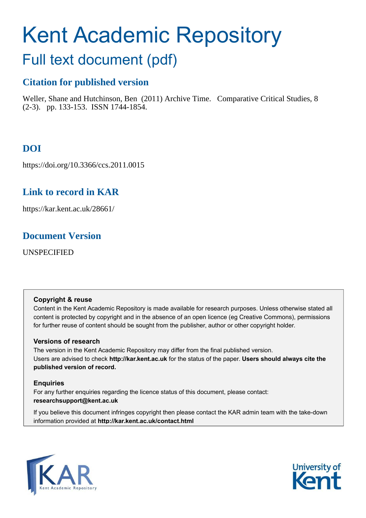# Kent Academic Repository

# Full text document (pdf)

## **Citation for published version**

Weller, Shane and Hutchinson, Ben (2011) Archive Time. Comparative Critical Studies, 8 (2-3). pp. 133-153. ISSN 1744-1854.

## **DOI**

https://doi.org/10.3366/ccs.2011.0015

## **Link to record in KAR**

https://kar.kent.ac.uk/28661/

## **Document Version**

UNSPECIFIED

#### **Copyright & reuse**

Content in the Kent Academic Repository is made available for research purposes. Unless otherwise stated all content is protected by copyright and in the absence of an open licence (eg Creative Commons), permissions for further reuse of content should be sought from the publisher, author or other copyright holder.

#### **Versions of research**

The version in the Kent Academic Repository may differ from the final published version. Users are advised to check **http://kar.kent.ac.uk** for the status of the paper. **Users should always cite the published version of record.**

#### **Enquiries**

For any further enquiries regarding the licence status of this document, please contact: **researchsupport@kent.ac.uk**

If you believe this document infringes copyright then please contact the KAR admin team with the take-down information provided at **http://kar.kent.ac.uk/contact.html**



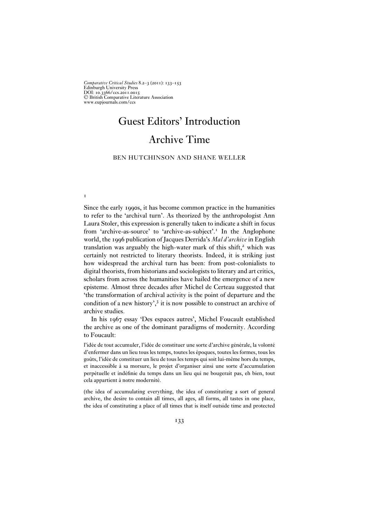*Comparative Critical Studies* 8.2–3 (2011): 133–153 Edinburgh University Press DOI: 10.3366/ccs.2011.0015 <sup>C</sup> British Comparative Literature Association www.eupjournals.com/ccs

**1** 

## Guest Editors' Introduction Archive Time

#### BEN HUTCHINSON AND SHANE WELLER

Since the early 1990s, it has become common practice in the humanities to refer to the 'archival turn'. As theorized by the anthropologist Ann Laura Stoler, this expression is generally taken to indicate a shift in focus from 'archive-as-source' to 'archive-as-subject'.<sup>1</sup> In the Anglophone world, the 1996 publication of Jacques Derrida's *Mal d'archive* in English translation was arguably the high-water mark of this shift, $2$  which was certainly not restricted to literary theorists. Indeed, it is striking just how widespread the archival turn has been: from post-colonialists to digital theorists, from historians and sociologists to literary and art critics, scholars from across the humanities have hailed the emergence of a new episteme. Almost three decades after Michel de Certeau suggested that 'the transformation of archival activity is the point of departure and the condition of a new history',<sup>3</sup> it is now possible to construct an archive of archive studies.

In his 1967 essay 'Des espaces autres', Michel Foucault established the archive as one of the dominant paradigms of modernity. According to Foucault:

l'idée de tout accumuler, l'idée de constituer une sorte d'archive générale, la volonté d'enfermer dans un lieu tous les temps, toutes les époques, toutes les formes, tous les goûts, l'idée de constituer un lieu de tous les temps qui soit lui-même hors du temps, et inaccessible à sa morsure, le projet d'organiser ainsi une sorte d'accumulation perpétuelle et indéfinie du temps dans un lieu qui ne bougerait pas, eh bien, tout cela appartient à notre modernité.

(the idea of accumulating everything, the idea of constituting a sort of general archive, the desire to contain all times, all ages, all forms, all tastes in one place, the idea of constituting a place of all times that is itself outside time and protected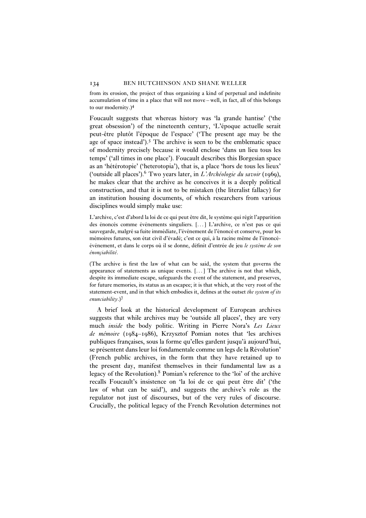from its erosion, the project of thus organizing a kind of perpetual and indefinite accumulation of time in a place that will not move – well, in fact, all of this belongs to our modernity.)<sup>4</sup>

Foucault suggests that whereas history was 'la grande hantise' ('the great obsession') of the nineteenth century, 'L'époque actuelle serait peut-être plutôt l'époque de l'espace' ('The present age may be the age of space instead').<sup>5</sup> The archive is seen to be the emblematic space of modernity precisely because it would enclose 'dans un lieu tous les temps' ('all times in one place'). Foucault describes this Borgesian space as an 'hétérotopie' ('heterotopia'), that is, a place 'hors de tous les lieux' ('outside all places').<sup>6</sup> Two years later, in *L'Archéologie du savoir* (1969), he makes clear that the archive as he conceives it is a deeply political construction, and that it is not to be mistaken (the literalist fallacy) for an institution housing documents, of which researchers from various disciplines would simply make use:

L'archive, c'est d'abord la loi de ce qui peut être dit, le système qui régit l'apparition des énoncés comme événements singuliers. [. . . ] L'archive, ce n'est pas ce qui sauvegarde, malgré sa fuite immédiate, l'événement de l'énoncé et conserve, pour les mémoires futures, son état civil d'évadé; c'est ce qui, à la racine même de l'énoncéévénement, et dans le corps où il se donne, définit d'entrée de jeu *le système de son énonçiabilité*.

(The archive is first the law of what can be said, the system that governs the appearance of statements as unique events.  $[\dots]$  The archive is not that which, despite its immediate escape, safeguards the event of the statement, and preserves, for future memories, its status as an escapee; it is that which, at the very root of the statement-event, and in that which embodies it, defines at the outset *the system of its enunciability*.)<sup>7</sup>

A brief look at the historical development of European archives suggests that while archives may be 'outside all places', they are very much *inside* the body politic. Writing in Pierre Nora's *Les Lieux de mémoire* (1984–1986), Krzysztof Pomian notes that 'les archives publiques françaises, sous la forme qu'elles gardent jusqu'à aujourd'hui, se présentent dans leur loi fondamentale comme un legs de la Révolution' (French public archives, in the form that they have retained up to the present day, manifest themselves in their fundamental law as a legacy of the Revolution).<sup>8</sup> Pomian's reference to the 'loi' of the archive recalls Foucault's insistence on 'la loi de ce qui peut être dit' ('the law of what can be said'), and suggests the archive's role as the regulator not just of discourses, but of the very rules of discourse. Crucially, the political legacy of the French Revolution determines not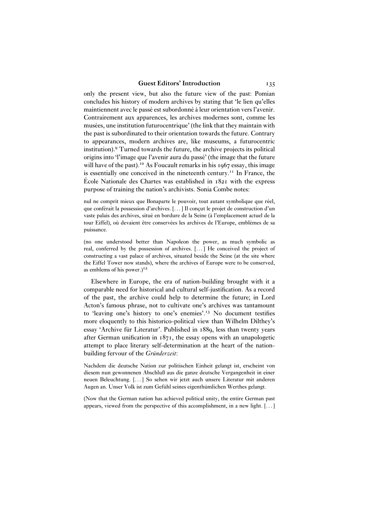only the present view, but also the future view of the past: Pomian concludes his history of modern archives by stating that 'le lien qu'elles maintiennent avec le passé est subordonné à leur orientation vers l'avenir. Contrairement aux apparences, les archives modernes sont, comme les musées, une institution futurocentrique' (the link that they maintain with the past is subordinated to their orientation towards the future. Contrary to appearances, modern archives are, like museums, a futurocentric institution).<sup>9</sup> Turned towards the future, the archive projects its political origins into 'l'image que l'avenir aura du passé' (the image that the future will have of the past).<sup>10</sup> As Foucault remarks in his  $1967$  essay, this image is essentially one conceived in the nineteenth century.<sup>11</sup> In France, the École Nationale des Chartes was established in 1821 with the express purpose of training the nation's archivists. Sonia Combe notes:

nul ne comprit mieux que Bonaparte le pouvoir, tout autant symbolique que réel, que conférait la possession d'archives. [. . . ] Il conçut le projet de construction d'un vaste palais des archives, situé en bordure de la Seine (à l'emplacement actuel de la tour Eiffel), où devaient être conservées les archives de l'Europe, emblèmes de sa puissance.

(no one understood better than Napoleon the power, as much symbolic as real, conferred by the possession of archives. [. . . ] He conceived the project of constructing a vast palace of archives, situated beside the Seine (at the site where the Eiffel Tower now stands), where the archives of Europe were to be conserved, as emblems of his power.)<sup>12</sup>

Elsewhere in Europe, the era of nation-building brought with it a comparable need for historical and cultural self-justification. As a record of the past, the archive could help to determine the future; in Lord Acton's famous phrase, not to cultivate one's archives was tantamount to 'leaving one's history to one's enemies'.<sup>13</sup> No document testifies more eloquently to this historico-political view than Wilhelm Dilthey's essay 'Archive für Literatur'. Published in 1889, less than twenty years after German unification in 1871, the essay opens with an unapologetic attempt to place literary self-determination at the heart of the nationbuilding fervour of the *Gründerzeit*:

Nachdem die deutsche Nation zur politischen Einheit gelangt ist, erscheint von diesem nun gewonnenen Abschluß aus die ganze deutsche Vergangenheit in einer neuen Beleuchtung. [. . . ] So sehen wir jetzt auch unsere Literatur mit anderen Augen an. Unser Volk ist zum Gefühl seines eigenthümlichen Werthes gelangt.

(Now that the German nation has achieved political unity, the entire German past appears, viewed from the perspective of this accomplishment, in a new light. [. . . ]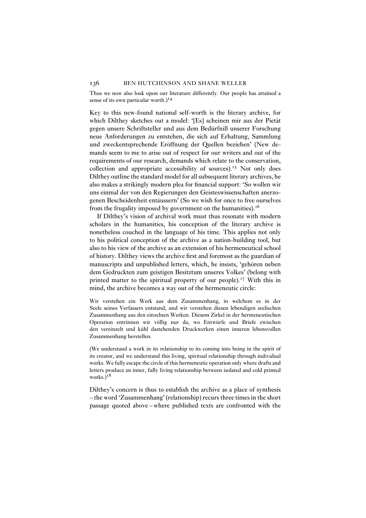Thus we now also look upon our literature differently. Our people has attained a sense of its own particular worth.)<sup>14</sup>

Key to this new-found national self-worth is the literary archive, for which Dilthey sketches out a model: '[Es] scheinen mir aus der Pietät gegen unsere Schriftsteller und aus dem Bedürfniß unserer Forschung neue Anforderungen zu entstehen, die sich auf Erhaltung, Sammlung und zweckentsprechende Eröffnung der Quellen beziehen' (New demands seem to me to arise out of respect for our writers and out of the requirements of our research, demands which relate to the conservation, collection and appropriate accessibility of sources).<sup>15</sup> Not only does Dilthey outline the standard model for all subsequent literary archives, he also makes a strikingly modern plea for financial support: 'So wollen wir uns einmal der von den Regierungen den Geisteswissenschaften anerzogenen Bescheidenheit entäussern' (So we wish for once to free ourselves from the frugality imposed by government on the humanities).<sup>16</sup>

If Dilthey's vision of archival work must thus resonate with modern scholars in the humanities, his conception of the literary archive is nonetheless couched in the language of his time. This applies not only to his political conception of the archive as a nation-building tool, but also to his view of the archive as an extension of his hermeneutical school of history. Dilthey views the archive first and foremost as the guardian of manuscripts and unpublished letters, which, he insists, 'gehören neben dem Gedruckten zum geistigen Besitztum unseres Volkes' (belong with printed matter to the spiritual property of our people).<sup>17</sup> With this in mind, the archive becomes a way out of the hermeneutic circle:

Wir verstehen ein Werk aus dem Zusammenhang, in welchem es in der Seele seines Verfassers entstand, und wir verstehen diesen lebendigen seelischen Zusammenhang aus den einzelnen Werken. Diesem Zirkel in der hermeneutischen Operation entrinnen wir völlig nur da, wo Entwürfe und Briefe zwischen den vereinzelt und kühl dastehenden Druckwerken einen inneren lebensvollen Zusammenhang herstellen.

(We understand a work in its relationship to its coming into being in the spirit of its creator, and we understand this living, spiritual relationship through individual works. We fully escape the circle of this hermeneutic operation only where drafts and letters produce an inner, fully living relationship between isolated and cold printed works. $)^{18}$ 

Dilthey's concern is thus to establish the archive as a place of synthesis – the word 'Zusammenhang' (relationship) recurs three times in the short passage quoted above – where published texts are confronted with the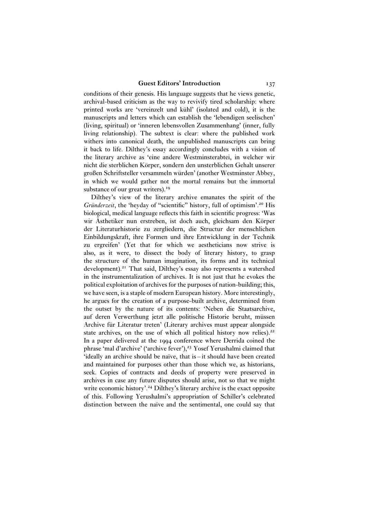conditions of their genesis. His language suggests that he views genetic, archival-based criticism as the way to revivify tired scholarship: where printed works are 'vereinzelt und kühl' (isolated and cold), it is the manuscripts and letters which can establish the 'lebendigen seelischen' (living, spiritual) or 'inneren lebensvollen Zusammenhang' (inner, fully living relationship). The subtext is clear: where the published work withers into canonical death, the unpublished manuscripts can bring it back to life. Dilthey's essay accordingly concludes with a vision of the literary archive as 'eine andere Westminsterabtei, in welcher wir nicht die sterblichen Körper, sondern den unsterblichen Gehalt unserer großen Schriftsteller versammeln würden' (another Westminster Abbey, in which we would gather not the mortal remains but the immortal substance of our great writers).<sup>19</sup>

Dilthey's view of the literary archive emanates the spirit of the *Gründerzeit*, the 'heyday of "scientific" history, full of optimism'.<sup>20</sup> His biological, medical language reflects this faith in scientific progress: 'Was wir Ästhetiker nun erstreben, ist doch auch, gleichsam den Körper der Literaturhistorie zu zergliedern, die Structur der menschlichen Einbildungskraft, ihre Formen und ihre Entwicklung in der Technik zu ergreifen' (Yet that for which we aestheticians now strive is also, as it were, to dissect the body of literary history, to grasp the structure of the human imagination, its forms and its technical development).<sup>21</sup> That said, Dilthey's essay also represents a watershed in the instrumentalization of archives. It is not just that he evokes the political exploitation of archives for the purposes of nation-building; this, we have seen, is a staple of modern European history. More interestingly, he argues for the creation of a purpose-built archive, determined from the outset by the nature of its contents: 'Neben die Staatsarchive, auf deren Verwerthung jetzt alle politische Historie beruht, müssen Archive für Literatur treten' (Literary archives must appear alongside state archives, on the use of which all political history now relies).<sup>22</sup> In a paper delivered at the 1994 conference where Derrida coined the phrase 'mal d'archive' ('archive fever'),<sup>23</sup> Yosef Yerushalmi claimed that 'ideally an archive should be naïve, that is – it should have been created and maintained for purposes other than those which we, as historians, seek. Copies of contracts and deeds of property were preserved in archives in case any future disputes should arise, not so that we might write economic history'.<sup>24</sup> Dilthey's literary archive is the exact opposite of this. Following Yerushalmi's appropriation of Schiller's celebrated distinction between the naïve and the sentimental, one could say that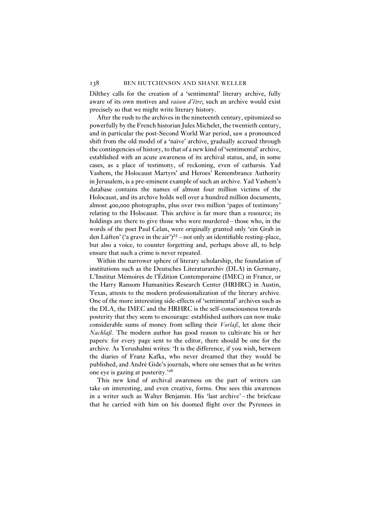Dilthey calls for the creation of a 'sentimental' literary archive, fully aware of its own motives and *raison d'être*; such an archive would exist precisely so that we might write literary history.

After the rush to the archives in the nineteenth century, epitomized so powerfully by the French historian Jules Michelet, the twentieth century, and in particular the post-Second World War period, saw a pronounced shift from the old model of a 'naïve' archive, gradually accrued through the contingencies of history, to that of a new kind of 'sentimental' archive, established with an acute awareness of its archival status, and, in some cases, as a place of testimony, of reckoning, even of catharsis. Yad Vashem, the Holocaust Martyrs' and Heroes' Remembrance Authority in Jerusalem, is a pre-eminent example of such an archive. Yad Vashem's database contains the names of almost four million victims of the Holocaust, and its archive holds well over a hundred million documents, almost 400,000 photographs, plus over two million 'pages of testimony' relating to the Holocaust. This archive is far more than a resource; its holdings are there to give those who were murdered – those who, in the words of the poet Paul Celan, were originally granted only 'ein Grab in den Lüften' ('a grave in the air')<sup>25</sup> – not only an identifiable resting-place, but also a voice, to counter forgetting and, perhaps above all, to help ensure that such a crime is never repeated.

Within the narrower sphere of literary scholarship, the foundation of institutions such as the Deutsches Literaturarchiv (DLA) in Germany, L'Institut Mémoires de l'Édition Contemporaine (IMEC) in France, or the Harry Ransom Humanities Research Center (HRHRC) in Austin, Texas, attests to the modern professionalization of the literary archive. One of the more interesting side-effects of 'sentimental' archives such as the DLA, the IMEC and the HRHRC is the self-consciousness towards posterity that they seem to encourage: established authors can now make considerable sums of money from selling their *Vorlaß*, let alone their *Nachlaß*. The modern author has good reason to cultivate his or her papers: for every page sent to the editor, there should be one for the archive. As Yerushalmi writes: 'It is the difference, if you wish, between the diaries of Franz Kafka, who never dreamed that they would be published, and André Gide's journals, where one senses that as he writes one eye is gazing at posterity.'<sup>26</sup>

This new kind of archival awareness on the part of writers can take on interesting, and even creative, forms. One sees this awareness in a writer such as Walter Benjamin. His 'last archive' – the briefcase that he carried with him on his doomed flight over the Pyrenees in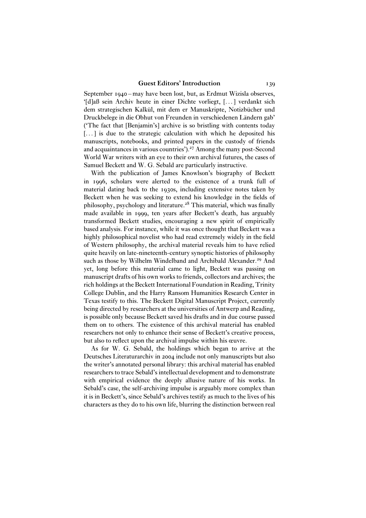September 1940 – may have been lost, but, as Erdmut Wizisla observes, '[d]aß sein Archiv heute in einer Dichte vorliegt, [. . . ] verdankt sich dem strategischen Kalkül, mit dem er Manuskripte, Notizbücher und Druckbelege in die Obhut von Freunden in verschiedenen Ländern gab' ('The fact that [Benjamin's] archive is so bristling with contents today [...] is due to the strategic calculation with which he deposited his manuscripts, notebooks, and printed papers in the custody of friends and acquaintances in various countries').<sup>27</sup> Among the many post-Second World War writers with an eye to their own archival futures, the cases of Samuel Beckett and W. G. Sebald are particularly instructive.

With the publication of James Knowlson's biography of Beckett in 1996, scholars were alerted to the existence of a trunk full of material dating back to the 1930s, including extensive notes taken by Beckett when he was seeking to extend his knowledge in the fields of philosophy, psychology and literature.<sup>28</sup> This material, which was finally made available in 1999, ten years after Beckett's death, has arguably transformed Beckett studies, encouraging a new spirit of empirically based analysis. For instance, while it was once thought that Beckett was a highly philosophical novelist who had read extremely widely in the field of Western philosophy, the archival material reveals him to have relied quite heavily on late-nineteenth-century synoptic histories of philosophy such as those by Wilhelm Windelband and Archibald Alexander.<sup>29</sup> And yet, long before this material came to light, Beckett was passing on manuscript drafts of his own works to friends, collectors and archives; the rich holdings at the Beckett International Foundation in Reading, Trinity College Dublin, and the Harry Ransom Humanities Research Center in Texas testify to this. The Beckett Digital Manuscript Project, currently being directed by researchers at the universities of Antwerp and Reading, is possible only because Beckett saved his drafts and in due course passed them on to others. The existence of this archival material has enabled researchers not only to enhance their sense of Beckett's creative process, but also to reflect upon the archival impulse within his œuvre.

As for W. G. Sebald, the holdings which began to arrive at the Deutsches Literaturarchiv in 2004 include not only manuscripts but also the writer's annotated personal library: this archival material has enabled researchers to trace Sebald's intellectual development and to demonstrate with empirical evidence the deeply allusive nature of his works. In Sebald's case, the self-archiving impulse is arguably more complex than it is in Beckett's, since Sebald's archives testify as much to the lives of his characters as they do to his own life, blurring the distinction between real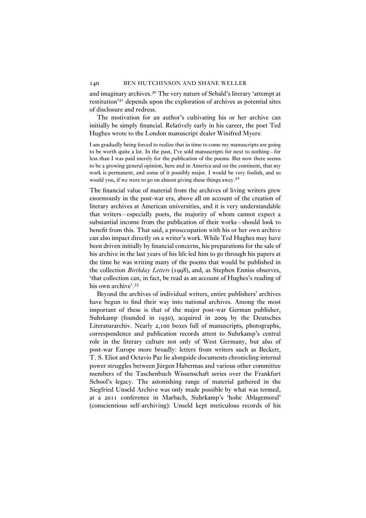and imaginary archives.<sup>30</sup> The very nature of Sebald's literary 'attempt at restitution'<sup>31</sup> depends upon the exploration of archives as potential sites of disclosure and redress.

The motivation for an author's cultivating his or her archive can initially be simply financial. Relatively early in his career, the poet Ted Hughes wrote to the London manuscript dealer Winifred Myers:

I am gradually being forced to realize that in time to come my manuscripts are going to be worth quite a lot. In the past, I've sold manuscripts for next to nothing – for less than I was paid merely for the publication of the poems. But now there seems to be a growing general opinion, here and in America and on the continent, that my work is permanent, and some of it possibly major. I would be very foolish, and so would you, if we were to go on almost giving these things away.<sup>32</sup>

The financial value of material from the archives of living writers grew enormously in the post-war era, above all on account of the creation of literary archives at American universities, and it is very understandable that writers – especially poets, the majority of whom cannot expect a substantial income from the publication of their works – should look to benefit from this. That said, a preoccupation with his or her own archive can also impact directly on a writer's work. While Ted Hughes may have been driven initially by financial concerns, his preparations for the sale of his archive in the last years of his life led him to go through his papers at the time he was writing many of the poems that would be published in the collection *Birthday Letters* (1998), and, as Stephen Enniss observes, 'that collection can, in fact, be read as an account of Hughes's reading of his own archive'.<sup>33</sup>

Beyond the archives of individual writers, entire publishers' archives have begun to find their way into national archives. Among the most important of these is that of the major post-war German publisher, Suhrkamp (founded in 1950), acquired in 2009 by the Deutsches Literaturarchiv. Nearly 2,100 boxes full of manuscripts, photographs, correspondence and publication records attest to Suhrkamp's central role in the literary culture not only of West Germany, but also of post-war Europe more broadly: letters from writers such as Beckett, T. S. Eliot and Octavio Paz lie alongside documents chronicling internal power struggles between Jürgen Habermas and various other committee members of the Taschenbuch Wissenschaft series over the Frankfurt School's legacy. The astonishing range of material gathered in the Siegfried Unseld Archive was only made possible by what was termed, at a 2011 conference in Marbach, Suhrkamp's 'hohe Ablagemoral' (conscientious self-archiving): Unseld kept meticulous records of his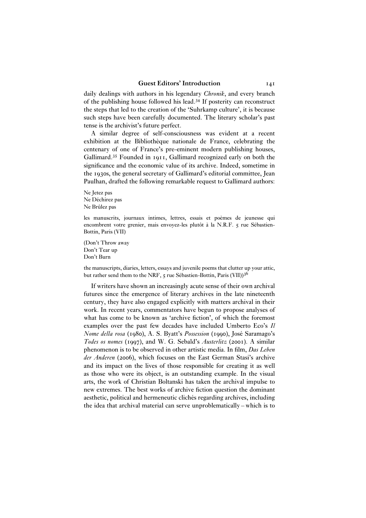daily dealings with authors in his legendary *Chronik*, and every branch of the publishing house followed his lead.<sup>34</sup> If posterity can reconstruct the steps that led to the creation of the 'Suhrkamp culture', it is because such steps have been carefully documented. The literary scholar's past tense is the archivist's future perfect.

A similar degree of self-consciousness was evident at a recent exhibition at the Bibliothèque nationale de France, celebrating the centenary of one of France's pre-eminent modern publishing houses, Gallimard.<sup>35</sup> Founded in 1911, Gallimard recognized early on both the significance and the economic value of its archive. Indeed, sometime in the 1930s, the general secretary of Gallimard's editorial committee, Jean Paulhan, drafted the following remarkable request to Gallimard authors:

Ne Jetez pas Ne Déchirez pas Ne Brûlez pas

les manuscrits, journaux intimes, lettres, essais et poèmes de jeunesse qui encombrent votre grenier, mais envoyez-les plutôt à la N.R.F. 5 rue Sébastien-Bottin, Paris (VII)

(Don't Throw away Don't Tear up Don't Burn

the manuscripts, diaries, letters, essays and juvenile poems that clutter up your attic, but rather send them to the NRF, 5 rue Sébastien-Bottin, Paris (VII))<sup>36</sup>

If writers have shown an increasingly acute sense of their own archival futures since the emergence of literary archives in the late nineteenth century, they have also engaged explicitly with matters archival in their work. In recent years, commentators have begun to propose analyses of what has come to be known as 'archive fiction', of which the foremost examples over the past few decades have included Umberto Eco's *Il Nome della rosa* (1980), A. S. Byatt's *Possession* (1990), José Saramago's *Todes os nomes* (1997), and W. G. Sebald's *Austerlitz* (2001). A similar phenomenon is to be observed in other artistic media. In film, *Das Leben der Anderen* (2006), which focuses on the East German Stasi's archive and its impact on the lives of those responsible for creating it as well as those who were its object, is an outstanding example. In the visual arts, the work of Christian Boltanski has taken the archival impulse to new extremes. The best works of archive fiction question the dominant aesthetic, political and hermeneutic clichés regarding archives, including the idea that archival material can serve unproblematically – which is to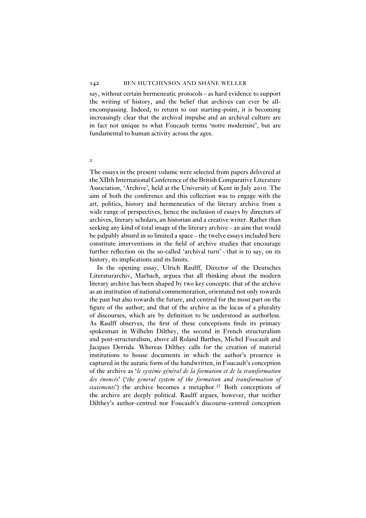say, without certain hermeneutic protocols – as hard evidence to support the writing of history, and the belief that archives can ever be allencompassing. Indeed, to return to our starting-point, it is becoming increasingly clear that the archival impulse and an archival culture are in fact not unique to what Foucault terms 'notre modernité', but are fundamental to human activity across the ages.

#### 2

The essays in the present volume were selected from papers delivered at the XIIth International Conference of the British Comparative Literature Association, 'Archive', held at the University of Kent in July 2010. The aim of both the conference and this collection was to engage with the art, politics, history and hermeneutics of the literary archive from a wide range of perspectives, hence the inclusion of essays by directors of archives, literary scholars, an historian and a creative writer. Rather than seeking any kind of total image of the literary archive – an aim that would be palpably absurd in so limited a space – the twelve essays included here constitute interventions in the field of archive studies that encourage further reflection on the so-called 'archival turn' – that is to say, on its history, its implications and its limits.

In the opening essay, Ulrich Raulff, Director of the Deutsches Literaturarchiv, Marbach, argues that all thinking about the modern literary archive has been shaped by two key concepts: that of the archive as an institution of national commemoration, orientated not only towards the past but also towards the future, and centred for the most part on the figure of the author; and that of the archive as the locus of a plurality of discourses, which are by definition to be understood as authorless. As Raulff observes, the first of these conceptions finds its primary spokesman in Wilhelm Dilthey, the second in French structuralism and post-structuralism, above all Roland Barthes, Michel Foucault and Jacques Derrida. Whereas Dilthey calls for the creation of material institutions to house documents in which the author's presence is captured in the auratic form of the handwritten, in Foucault's conception of the archive as '*le système général de la formation et de la transformation des énoncés*' ('*the general system of the formation and transformation of statements*') the archive becomes a metaphor.<sup>37</sup> Both conceptions of the archive are deeply political. Raulff argues, however, that neither Dilthey's author-centred nor Foucault's discourse-centred conception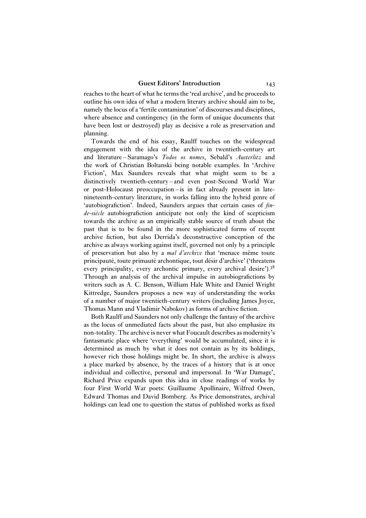reaches to the heart of what he terms the 'real archive', and he proceeds to outline his own idea of what a modern literary archive should aim to be, namely the locus of a 'fertile contamination' of discourses and disciplines, where absence and contingency (in the form of unique documents that have been lost or destroyed) play as decisive a role as preservation and planning.

Towards the end of his essay, Raulff touches on the widespread engagement with the idea of the archive in twentieth-century art and literature – Saramago's *Todos os nomes*, Sebald's *Austerlitz* and the work of Christian Boltanski being notable examples. In 'Archive Fiction', Max Saunders reveals that what might seem to be a distinctively twentieth-century – and even post-Second World War or post-Holocaust preoccupation – is in fact already present in latenineteenth-century literature, in works falling into the hybrid genre of 'autobiografiction'. Indeed, Saunders argues that certain cases of *finde-siècle* autobiografiction anticipate not only the kind of scepticism towards the archive as an empirically stable source of truth about the past that is to be found in the more sophisticated forms of recent archive fiction, but also Derrida's deconstructive conception of the archive as always working against itself, governed not only by a principle of preservation but also by a *mal d'archive* that 'menace même toute principauté, toute primauté archontique, tout désir d'archive' ('threatens every principality, every archontic primary, every archival desire').<sup>38</sup> Through an analysis of the archival impulse in autobiografictions by writers such as A. C. Benson, William Hale White and Daniel Wright Kittredge, Saunders proposes a new way of understanding the works of a number of major twentieth-century writers (including James Joyce, Thomas Mann and Vladimir Nabokov) as forms of archive fiction.

Both Raulff and Saunders not only challenge the fantasy of the archive as the locus of unmediated facts about the past, but also emphasize its non-totality. The archive is never what Foucault describes as modernity's fantasmatic place where 'everything' would be accumulated, since it is determined as much by what it does not contain as by its holdings, however rich those holdings might be. In short, the archive is always a place marked by absence, by the traces of a history that is at once individual and collective, personal and impersonal. In 'War Damage', Richard Price expands upon this idea in close readings of works by four First World War poets: Guillaume Apollinaire, Wilfred Owen, Edward Thomas and David Bomberg. As Price demonstrates, archival holdings can lead one to question the status of published works as fixed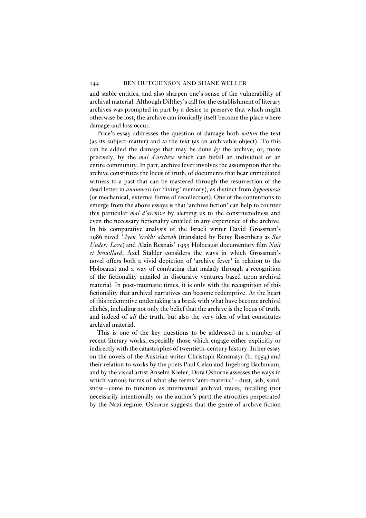and stable entities, and also sharpen one's sense of the vulnerability of archival material. Although Dilthey's call for the establishment of literary archives was prompted in part by a desire to preserve that which might otherwise be lost, the archive can ironically itself become the place where damage and loss occur.

Price's essay addresses the question of damage both *within* the text (as its subject-matter) and *to* the text (as an archivable object). To this can be added the damage that may be done *by* the archive, or, more precisely, by the *mal d'archive* which can befall an individual or an entire community. In part, archive fever involves the assumption that the archive constitutes the locus of truth, of documents that bear unmediated witness to a past that can be mastered through the resurrection of the dead letter in *anamnesis* (or 'living' memory), as distinct from *hypomnesis* (or mechanical, external forms of recollection). One of the contentions to emerge from the above essays is that 'archive fiction' can help to counter this particular *mal d'archive* by alerting us to the constructedness and even the necessary fictionality entailed in any experience of the archive. In his comparative analysis of the Israeli writer David Grossman's 1986 novel *'Ayen 'erekh: ahavah* (translated by Betsy Rosenberg as *See Under: Love*) and Alain Resnais' 1955 Holocaust documentary film *Nuit et brouillard*, Axel Stähler considers the ways in which Grossman's novel offers both a vivid depiction of 'archive fever' in relation to the Holocaust and a way of combating that malady through a recognition of the fictionality entailed in discursive ventures based upon archival material. In post-traumatic times, it is only with the recognition of this fictionality that archival narratives can become redemptive. At the heart of this redemptive undertaking is a break with what have become archival clichés, including not only the belief that the archive is the locus of truth, and indeed of *all* the truth, but also the very idea of what constitutes archival material.

This is one of the key questions to be addressed in a number of recent literary works, especially those which engage either explicitly or indirectly with the catastrophes of twentieth-century history. In her essay on the novels of the Austrian writer Christoph Ransmayr (b. 1954) and their relation to works by the poets Paul Celan and Ingeborg Bachmann, and by the visual artist Anselm Kiefer, Dora Osborne assesses the ways in which various forms of what she terms 'anti-material' – dust, ash, sand, snow – come to function as intertextual archival traces, recalling (not necessarily intentionally on the author's part) the atrocities perpetrated by the Nazi regime. Osborne suggests that the genre of archive fiction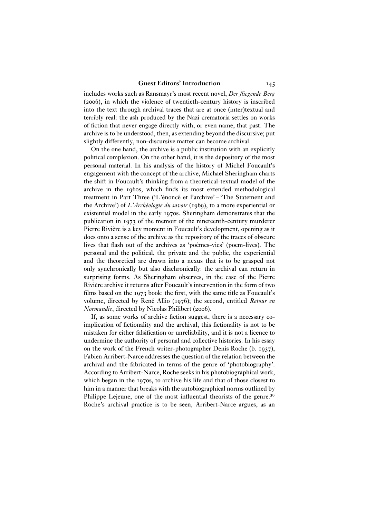includes works such as Ransmayr's most recent novel, *Der fliegende Berg* (2006), in which the violence of twentieth-century history is inscribed into the text through archival traces that are at once (inter)textual and terribly real: the ash produced by the Nazi crematoria settles on works of fiction that never engage directly with, or even name, that past. The archive is to be understood, then, as extending beyond the discursive; put slightly differently, non-discursive matter can become archival.

On the one hand, the archive is a public institution with an explicitly political complexion. On the other hand, it is the depository of the most personal material. In his analysis of the history of Michel Foucault's engagement with the concept of the archive, Michael Sheringham charts the shift in Foucault's thinking from a theoretical-textual model of the archive in the 1960s, which finds its most extended methodological treatment in Part Three ('L'énoncé et l'archive' – 'The Statement and the Archive') of *L'Archéologie du savoir* (1969), to a more experiential or existential model in the early 1970s. Sheringham demonstrates that the publication in 1973 of the memoir of the nineteenth-century murderer Pierre Rivière is a key moment in Foucault's development, opening as it does onto a sense of the archive as the repository of the traces of obscure lives that flash out of the archives as 'poèmes-vies' (poem-lives). The personal and the political, the private and the public, the experiential and the theoretical are drawn into a nexus that is to be grasped not only synchronically but also diachronically: the archival can return in surprising forms. As Sheringham observes, in the case of the Pierre Rivière archive it returns after Foucault's intervention in the form of two films based on the 1973 book: the first, with the same title as Foucault's volume, directed by René Allio (1976); the second, entitled *Retour en Normandie*, directed by Nicolas Philibert (2006).

If, as some works of archive fiction suggest, there is a necessary coimplication of fictionality and the archival, this fictionality is not to be mistaken for either falsification or unreliability, and it is not a licence to undermine the authority of personal and collective histories. In his essay on the work of the French writer-photographer Denis Roche (b. 1937), Fabien Arribert-Narce addresses the question of the relation between the archival and the fabricated in terms of the genre of 'photobiography'. According to Arribert-Narce, Roche seeks in his photobiographical work, which began in the 1970s, to archive his life and that of those closest to him in a manner that breaks with the autobiographical norms outlined by Philippe Lejeune, one of the most influential theorists of the genre.<sup>39</sup> Roche's archival practice is to be seen, Arribert-Narce argues, as an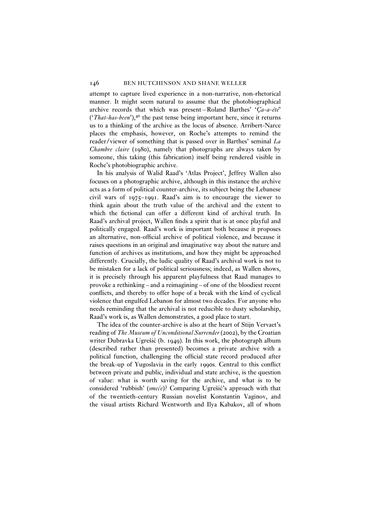attempt to capture lived experience in a non-narrative, non-rhetorical manner. It might seem natural to assume that the photobiographical archive records that which was present – Roland Barthes' '*Ça-a-été*' ('*That-has-been*'),<sup>40</sup> the past tense being important here, since it returns us to a thinking of the archive as the locus of absence. Arribert-Narce places the emphasis, however, on Roche's attempts to remind the reader/viewer of something that is passed over in Barthes' seminal *La Chambre claire* (1980), namely that photographs are always taken by someone, this taking (this fabrication) itself being rendered visible in Roche's photobiographic archive.

In his analysis of Walid Raad's 'Atlas Project', Jeffrey Wallen also focuses on a photographic archive, although in this instance the archive acts as a form of political counter-archive, its subject being the Lebanese civil wars of 1975–1991. Raad's aim is to encourage the viewer to think again about the truth value of the archival and the extent to which the fictional can offer a different kind of archival truth. In Raad's archival project, Wallen finds a spirit that is at once playful and politically engaged. Raad's work is important both because it proposes an alternative, non-official archive of political violence, and because it raises questions in an original and imaginative way about the nature and function of archives as institutions, and how they might be approached differently. Crucially, the ludic quality of Raad's archival work is not to be mistaken for a lack of political seriousness; indeed, as Wallen shows, it is precisely through his apparent playfulness that Raad manages to provoke a rethinking – and a reimagining – of one of the bloodiest recent conflicts, and thereby to offer hope of a break with the kind of cyclical violence that engulfed Lebanon for almost two decades. For anyone who needs reminding that the archival is not reducible to dusty scholarship, Raad's work is, as Wallen demonstrates, a good place to start.

The idea of the counter-archive is also at the heart of Stijn Vervaet's reading of *The Museum of Unconditional Surrender* (2002), by the Croatian writer Dubravka Ugrešić (b. 1949). In this work, the photograph album (described rather than presented) becomes a private archive with a political function, challenging the official state record produced after the break-up of Yugoslavia in the early 1990s. Central to this conflict between private and public, individual and state archive, is the question of value: what is worth saving for the archive, and what is to be considered 'rubbish' (*smeće*)? Comparing Ugrešić's approach with that of the twentieth-century Russian novelist Konstantin Vaginov, and the visual artists Richard Wentworth and Ilya Kabakov, all of whom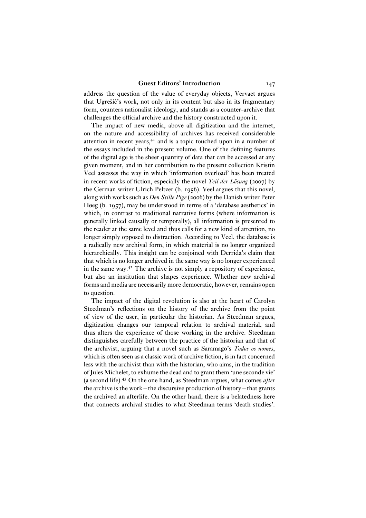address the question of the value of everyday objects, Vervaet argues that Ugrešic's work, not only in its content but also in its fragmentary ´ form, counters nationalist ideology, and stands as a counter-archive that challenges the official archive and the history constructed upon it.

The impact of new media, above all digitization and the internet, on the nature and accessibility of archives has received considerable attention in recent years,<sup>41</sup> and is a topic touched upon in a number of the essays included in the present volume. One of the defining features of the digital age is the sheer quantity of data that can be accessed at any given moment, and in her contribution to the present collection Kristin Veel assesses the way in which 'information overload' has been treated in recent works of fiction, especially the novel *Teil der Lösung* (2007) by the German writer Ulrich Peltzer (b. 1956). Veel argues that this novel, along with works such as *Den Stille Pige* (2006) by the Danish writer Peter Høeg (b. 1957), may be understood in terms of a 'database aesthetics' in which, in contrast to traditional narrative forms (where information is generally linked causally or temporally), all information is presented to the reader at the same level and thus calls for a new kind of attention, no longer simply opposed to distraction. According to Veel, the database is a radically new archival form, in which material is no longer organized hierarchically. This insight can be conjoined with Derrida's claim that that which is no longer archived in the same way is no longer experienced in the same way.<sup>42</sup> The archive is not simply a repository of experience, but also an institution that shapes experience. Whether new archival forms and media are necessarily more democratic, however, remains open to question.

The impact of the digital revolution is also at the heart of Carolyn Steedman's reflections on the history of the archive from the point of view of the user, in particular the historian. As Steedman argues, digitization changes our temporal relation to archival material, and thus alters the experience of those working in the archive. Steedman distinguishes carefully between the practice of the historian and that of the archivist, arguing that a novel such as Saramago's *Todos os nomes*, which is often seen as a classic work of archive fiction, is in fact concerned less with the archivist than with the historian, who aims, in the tradition of Jules Michelet, to exhume the dead and to grant them 'une seconde vie' (a second life).<sup>43</sup> On the one hand, as Steedman argues, what comes *after* the archive is the work – the discursive production of history – that grants the archived an afterlife. On the other hand, there is a belatedness here that connects archival studies to what Steedman terms 'death studies'.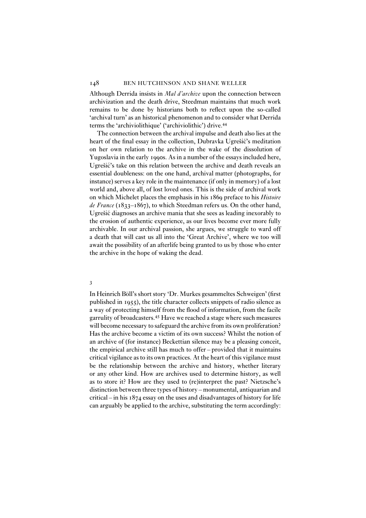Although Derrida insists in *Mal d'archive* upon the connection between archivization and the death drive, Steedman maintains that much work remains to be done by historians both to reflect upon the so-called 'archival turn' as an historical phenomenon and to consider what Derrida terms the 'archiviolithique' ('archiviolithic') drive.<sup>44</sup>

The connection between the archival impulse and death also lies at the heart of the final essay in the collection, Dubravka Ugrešić's meditation on her own relation to the archive in the wake of the dissolution of Yugoslavia in the early 1990s. As in a number of the essays included here, Ugrešić's take on this relation between the archive and death reveals an essential doubleness: on the one hand, archival matter (photographs, for instance) serves a key role in the maintenance (if only in memory) of a lost world and, above all, of lost loved ones. This is the side of archival work on which Michelet places the emphasis in his 1869 preface to his *Histoire de France* (1833–1867), to which Steedman refers us. On the other hand, Ugrešic diagnoses an archive mania that she sees as leading inexorably to ´ the erosion of authentic experience, as our lives become ever more fully archivable. In our archival passion, she argues, we struggle to ward off a death that will cast us all into the 'Great Archive', where we too will await the possibility of an afterlife being granted to us by those who enter the archive in the hope of waking the dead.

#### 3

In Heinrich Böll's short story 'Dr. Murkes gesammeltes Schweigen' (first published in 1955), the title character collects snippets of radio silence as a way of protecting himself from the flood of information, from the facile garrulity of broadcasters.<sup>45</sup> Have we reached a stage where such measures will become necessary to safeguard the archive from its own proliferation? Has the archive become a victim of its own success? Whilst the notion of an archive of (for instance) Beckettian silence may be a pleasing conceit, the empirical archive still has much to offer – provided that it maintains critical vigilance as to its own practices. At the heart of this vigilance must be the relationship between the archive and history, whether literary or any other kind. How are archives used to determine history, as well as to store it? How are they used to (re)interpret the past? Nietzsche's distinction between three types of history – monumental, antiquarian and critical – in his 1874 essay on the uses and disadvantages of history for life can arguably be applied to the archive, substituting the term accordingly: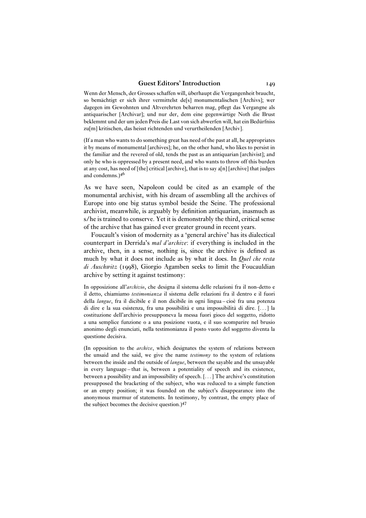Wenn der Mensch, der Grosses schaffen will, überhaupt die Vergangenheit braucht, so bemächtigt er sich ihrer vermittelst de[s] monumentalischen [Archivs]; wer dagegen im Gewohnten und Altverehrten beharren mag, pflegt das Vergangne als antiquarischer [Archivar]; und nur der, dem eine gegenwärtige Noth die Brust beklemmt und der um jeden Preis die Last von sich abwerfen will, hat ein Bedürfniss zu[m] kritischen, das heisst richtenden und verurtheilenden [Archiv].

(If a man who wants to do something great has need of the past at all, he appropriates it by means of monumental [archives]; he, on the other hand, who likes to persist in the familiar and the revered of old, tends the past as an antiquarian [archivist]; and only he who is oppressed by a present need, and who wants to throw off this burden at any cost, has need of [the] critical [archive], that is to say a[n] [archive] that judges and condemns.)<sup>46</sup>

As we have seen, Napoleon could be cited as an example of the monumental archivist, with his dream of assembling all the archives of Europe into one big status symbol beside the Seine. The professional archivist, meanwhile, is arguably by definition antiquarian, inasmuch as s/he is trained to conserve. Yet it is demonstrably the third, critical sense of the archive that has gained ever greater ground in recent years.

Foucault's vision of modernity as a 'general archive' has its dialectical counterpart in Derrida's *mal d'archive*: if everything is included in the archive, then, in a sense, nothing is, since the archive is defined as much by what it does not include as by what it does. In *Quel che resta di Auschwitz* (1998), Giorgio Agamben seeks to limit the Foucauldian archive by setting it against testimony:

In opposizione all'*archivio*, che designa il sistema delle relazioni fra il non-detto e il detto, chiamiamo *testimonianza* il sistema delle relazioni fra il dentro e il fuori della *langue*, fra il dicibile e il non dicibile in ogni lingua – cioè fra una potenza di dire e la sua esistenza, fra una possibilità e una impossibilità di dire. [. . . ] la costituzione dell'archivio presupponeva la messa fuori gioco del soggetto, ridotto a una semplice funzione o a una posizione vuota, e il suo scomparire nel brusio anonimo degli enunciati, nella testimonianza il posto vuoto del soggetto diventa la questione decisiva.

(In opposition to the *archive*, which designates the system of relations between the unsaid and the said, we give the name *testimony* to the system of relations between the inside and the outside of *langue*, between the sayable and the unsayable in every language – that is, between a potentiality of speech and its existence, between a possibility and an impossibility of speech. [. . . ] The archive's constitution presupposed the bracketing of the subject, who was reduced to a simple function or an empty position; it was founded on the subject's disappearance into the anonymous murmur of statements. In testimony, by contrast, the empty place of the subject becomes the decisive question.)<sup>47</sup>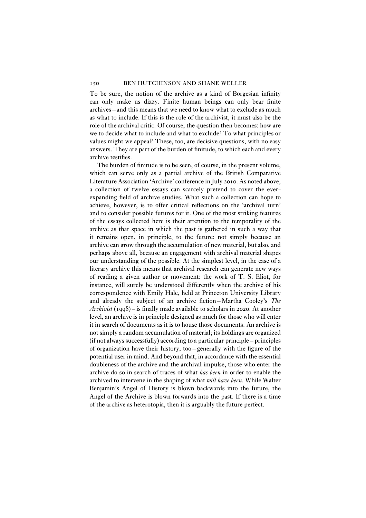To be sure, the notion of the archive as a kind of Borgesian infinity can only make us dizzy. Finite human beings can only bear finite archives – and this means that we need to know what to exclude as much as what to include. If this is the role of the archivist, it must also be the role of the archival critic. Of course, the question then becomes: how are we to decide what to include and what to exclude? To what principles or values might we appeal? These, too, are decisive questions, with no easy answers. They are part of the burden of finitude, to which each and every archive testifies.

The burden of finitude is to be seen, of course, in the present volume, which can serve only as a partial archive of the British Comparative Literature Association 'Archive' conference in July 2010. As noted above, a collection of twelve essays can scarcely pretend to cover the everexpanding field of archive studies. What such a collection can hope to achieve, however, is to offer critical reflections on the 'archival turn' and to consider possible futures for it. One of the most striking features of the essays collected here is their attention to the temporality of the archive as that space in which the past is gathered in such a way that it remains open, in principle, to the future: not simply because an archive can grow through the accumulation of new material, but also, and perhaps above all, because an engagement with archival material shapes our understanding of the possible. At the simplest level, in the case of a literary archive this means that archival research can generate new ways of reading a given author or movement: the work of T. S. Eliot, for instance, will surely be understood differently when the archive of his correspondence with Emily Hale, held at Princeton University Library and already the subject of an archive fiction – Martha Cooley's *The Archivist* (1998) – is finally made available to scholars in 2020. At another level, an archive is in principle designed as much for those who will enter it in search of documents as it is to house those documents. An archive is not simply a random accumulation of material; its holdings are organized (if not always successfully) according to a particular principle – principles of organization have their history, too – generally with the figure of the potential user in mind. And beyond that, in accordance with the essential doubleness of the archive and the archival impulse, those who enter the archive do so in search of traces of what *has been* in order to enable the archived to intervene in the shaping of what *will have been*. While Walter Benjamin's Angel of History is blown backwards into the future, the Angel of the Archive is blown forwards into the past. If there is a time of the archive as heterotopia, then it is arguably the future perfect.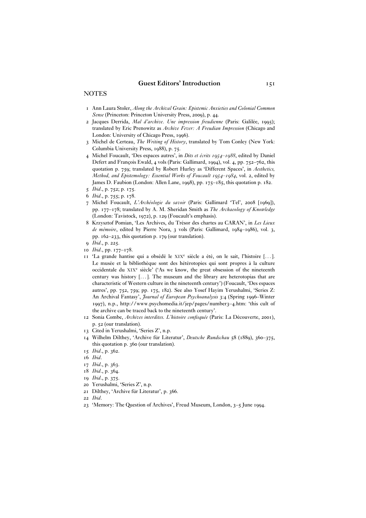#### **NOTES**

- 1 Ann Laura Stoler, *Along the Archival Grain: Epistemic Anxieties and Colonial Common Sense* (Princeton: Princeton University Press, 2009), p. 44.
- 2 Jacques Derrida, *Mal d'archive. Une impression freudienne* (Paris: Galilée, 1995); translated by Eric Prenowitz as *Archive Fever: A Freudian Impression* (Chicago and London: University of Chicago Press, 1996).
- 3 Michel de Certeau, *The Writing of History*, translated by Tom Conley (New York: Columbia University Press, 1988), p. 75.
- 4 Michel Foucault, 'Des espaces autres', in *Dits et écrits 1954–1988*, edited by Daniel Defert and François Ewald, 4 vols (Paris: Gallimard, 1994), vol. 4, pp. 752–762, this quotation p. 759; translated by Robert Hurley as 'Different Spaces', in *Aesthetics, Method, and Epistemology: Essential Works of Foucault 1954–1984*, vol. 2, edited by James D. Faubion (London: Allen Lane, 1998), pp. 175–185, this quotation p. 182.
- 5 *Ibid*., p. 752; p. 175.
- 6 *Ibid*., p. 755; p. 178.
- 7 Michel Foucault, *L'Archéologie du savoir* (Paris: Gallimard 'Tel', 2008 [1969]), pp. 177–178; translated by A. M. Sheridan Smith as *The Archaeology of Knowledge* (London: Tavistock, 1972), p. 129 (Foucault's emphasis).
- 8 Krzysztof Pomian, 'Les Archives, du Trésor des chartes au CARAN', in *Les Lieux de mémoire*, edited by Pierre Nora, 3 vols (Paris: Gallimard, 1984–1986), vol. 3, pp. 162–233, this quotation p. 179 (our translation).
- 9 *Ibid*., p. 225.
- 10 *Ibid*., pp. 177–178.
- 11 'La grande hantise qui a obsédé le XIX<sup>e</sup> siècle a été, on le sait, l'histoire [...]. Le musée et la bibliothèque sont des hétérotopies qui sont propres à la culture occidentale du XIX<sup>e</sup> siècle' ('As we know, the great obsession of the nineteenth century was history [...]. The museum and the library are heterotopias that are characteristic of Western culture in the nineteenth century') (Foucault, 'Des espaces autres', pp. 752, 759; pp. 175, 182). See also Yosef Hayim Yerushalmi, 'Series Z: An Archival Fantasy', *Journal of European Psychoanalysis* 3:4 (Spring 1996–Winter 1997), n.p., http://www.psychomedia.it/jep/pages/number3–4.htm: 'this cult of the archive can be traced back to the nineteenth century'.
- 12 Sonia Combe, *Archives interdites. L'histoire confisquée* (Paris: La Découverte, 2001), p. 52 (our translation).
- 13 Cited in Yerushalmi, 'Series Z', n.p.
- 14 Wilhelm Dilthey, 'Archive für Literatur', *Deutsche Rundschau* 58 (1889), 360–375, this quotation p. 360 (our translation).
- 15 *Ibid*., p. 362.
- 16 *Ibid*.
- 17 *Ibid*., p. 363.
- 18 *Ibid*., p. 364.
- 19 *Ibid*., p. 375.
- 20 Yerushalmi, 'Series Z', n.p.
- 21 Dilthey, 'Archive für Literatur', p. 366.
- 22 *Ibid*.
- 23 'Memory: The Question of Archives', Freud Museum, London, 3–5 June 1994.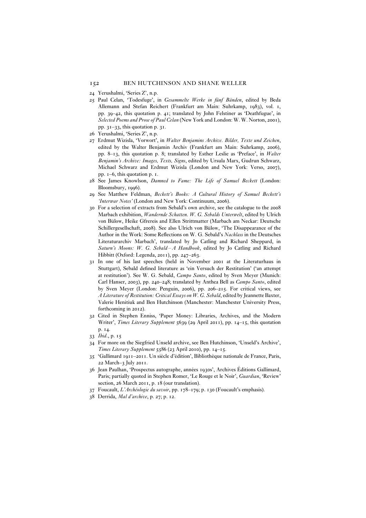- 24 Yerushalmi, 'Series Z', n.p.
- 25 Paul Celan, 'Todesfuge', in *Gesammelte Werke in fünf Bänden*, edited by Beda Allemann and Stefan Reichert (Frankfurt am Main: Suhrkamp, 1983), vol. 1, pp. 39–42, this quotation p. 41; translated by John Felstiner as 'Deathfugue', in *Selected Poems and Prose of Paul Celan* (New York and London: W. W. Norton, 2001), pp. 31–33, this quotation p. 31.
- 26 Yerushalmi, 'Series Z', n.p.
- 27 Erdmut Wizisla, 'Vorwort', in *Walter Benjamins Archive. Bilder, Texte und Zeichen*, edited by the Walter Benjamin Archiv (Frankfurt am Main: Suhrkamp, 2006), pp. 8–13, this quotation p. 8; translated by Esther Leslie as 'Preface', in *Walter Benjamin's Archive: Images, Texts, Signs*, edited by Ursula Marx, Gudrun Schwarz, Michael Schwarz and Erdmut Wizisla (London and New York: Verso, 2007), pp. 1–6, this quotation p. 1.
- 28 See James Knowlson, *Damned to Fame: The Life of Samuel Beckett* (London: Bloomsbury, 1996).
- 29 See Matthew Feldman, *Beckett's Books: A Cultural History of Samuel Beckett's 'Interwar Notes'* (London and New York: Continuum, 2006).
- 30 For a selection of extracts from Sebald's own archive, see the catalogue to the 2008 Marbach exhibition, *Wandernde Schatten. W. G. Sebalds Unterwelt*, edited by Ulrich von Bülow, Heike Gfrereis and Ellen Strittmatter (Marbach am Neckar: Deutsche Schillergesellschaft, 2008). See also Ulrich von Bülow, 'The Disappearance of the Author in the Work: Some Reflections on W. G. Sebald's *Nachlass* in the Deutsches Literaturarchiv Marbach', translated by Jo Catling and Richard Sheppard, in *Saturn's Moons: W. G. Sebald – A Handbook*, edited by Jo Catling and Richard Hibbitt (Oxford: Legenda, 2011), pp. 247–263.
- 31 In one of his last speeches (held in November 2001 at the Literaturhaus in Stuttgart), Sebald defined literature as 'ein Versuch der Restitution' ('an attempt at restitution'). See W. G. Sebald, *Campo Santo*, edited by Sven Meyer (Munich: Carl Hanser, 2003), pp. 240–248; translated by Anthea Bell as *Campo Santo*, edited by Sven Meyer (London: Penguin, 2006), pp. 206–215. For critical views, see *A Literature of Restitution: Critical Essays on W. G. Sebald*, edited by Jeannette Baxter, Valerie Henitiuk and Ben Hutchinson (Manchester: Manchester University Press, forthcoming in 2012).
- 32 Cited in Stephen Enniss, 'Paper Money: Libraries, Archives, and the Modern Writer', *Times Literary Supplement* 5639 (29 April 2011), pp. 14–15, this quotation p. 14.
- 33 *Ibid*., p. 15
- 34 For more on the Siegfried Unseld archive, see Ben Hutchinson, 'Unseld's Archive', *Times Literary Supplement* 5586 (23 April 2010), pp. 14–15.
- 35 'Gallimard 1911–2011. Un siècle d'édition', Bibliothèque nationale de France, Paris, 22 March–3 July 2011.
- 36 Jean Paulhan, 'Prospectus autographe, années 1930s', Archives Éditions Gallimard, Paris; partially quoted in Stephen Romer, 'Le Rouge et le Noir', *Guardian*, 'Review' section, 26 March 2011, p. 18 (our translation).
- 37 Foucault, *L'Archéologie du savoir*, pp. 178–179; p. 130 (Foucault's emphasis).
- 38 Derrida, *Mal d'archive*, p. 27; p. 12.